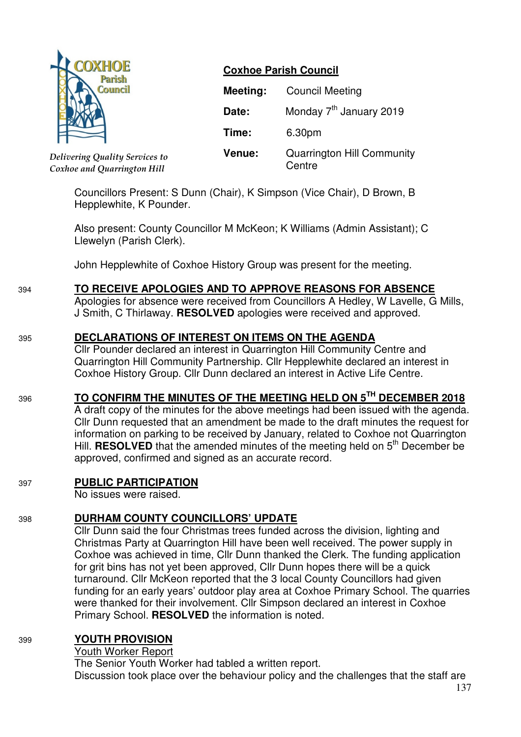

*Delivering Quality Services to Coxhoe and Quarrington Hill*

### **Coxhoe Parish Council**

| Meeting:      | <b>Council Meeting</b>                      |
|---------------|---------------------------------------------|
| Date:         | Monday 7 <sup>th</sup> January 2019         |
| Time:         | 6.30pm                                      |
| <b>Venue:</b> | <b>Quarrington Hill Community</b><br>Centre |

Councillors Present: S Dunn (Chair), K Simpson (Vice Chair), D Brown, B Hepplewhite, K Pounder.

Also present: County Councillor M McKeon; K Williams (Admin Assistant); C Llewelyn (Parish Clerk).

John Hepplewhite of Coxhoe History Group was present for the meeting.

## 394 **TO RECEIVE APOLOGIES AND TO APPROVE REASONS FOR ABSENCE**

Apologies for absence were received from Councillors A Hedley, W Lavelle, G Mills, J Smith, C Thirlaway. **RESOLVED** apologies were received and approved.

### 395 **DECLARATIONS OF INTEREST ON ITEMS ON THE AGENDA**

 Cllr Pounder declared an interest in Quarrington Hill Community Centre and Quarrington Hill Community Partnership. Cllr Hepplewhite declared an interest in Coxhoe History Group. Cllr Dunn declared an interest in Active Life Centre.

# <sup>396</sup> **TO CONFIRM THE MINUTES OF THE MEETING HELD ON 5TH DECEMBER 2018**

 A draft copy of the minutes for the above meetings had been issued with the agenda. Cllr Dunn requested that an amendment be made to the draft minutes the request for information on parking to be received by January, related to Coxhoe not Quarrington Hill. **RESOLVED** that the amended minutes of the meeting held on 5<sup>th</sup> December be approved, confirmed and signed as an accurate record.

### 397 **PUBLIC PARTICIPATION**

No issues were raised.

# 398 **DURHAM COUNTY COUNCILLORS' UPDATE**

Cllr Dunn said the four Christmas trees funded across the division, lighting and Christmas Party at Quarrington Hill have been well received. The power supply in Coxhoe was achieved in time, Cllr Dunn thanked the Clerk. The funding application for grit bins has not yet been approved, Cllr Dunn hopes there will be a quick turnaround. Cllr McKeon reported that the 3 local County Councillors had given funding for an early years' outdoor play area at Coxhoe Primary School. The quarries were thanked for their involvement. Cllr Simpson declared an interest in Coxhoe Primary School. **RESOLVED** the information is noted.

# 399 **YOUTH PROVISION**

## Youth Worker Report

The Senior Youth Worker had tabled a written report.

Discussion took place over the behaviour policy and the challenges that the staff are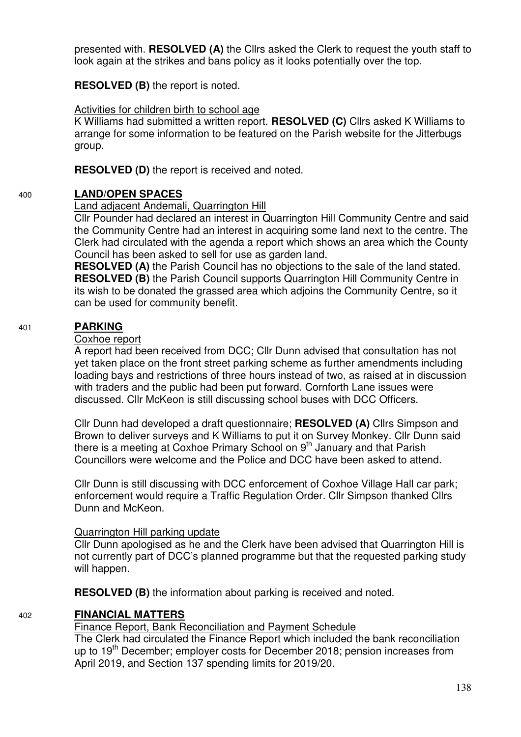presented with. **RESOLVED (A)** the Cllrs asked the Clerk to request the youth staff to look again at the strikes and bans policy as it looks potentially over the top.

**RESOLVED (B)** the report is noted.

#### Activities for children birth to school age

K Williams had submitted a written report. **RESOLVED (C)** Cllrs asked K Williams to arrange for some information to be featured on the Parish website for the Jitterbugs group.

**RESOLVED (D)** the report is received and noted.

### 400 **LAND/OPEN SPACES**

#### Land adjacent Andemali, Quarrington Hill

Cllr Pounder had declared an interest in Quarrington Hill Community Centre and said the Community Centre had an interest in acquiring some land next to the centre. The Clerk had circulated with the agenda a report which shows an area which the County Council has been asked to sell for use as garden land.

**RESOLVED (A)** the Parish Council has no objections to the sale of the land stated. **RESOLVED (B)** the Parish Council supports Quarrington Hill Community Centre in its wish to be donated the grassed area which adjoins the Community Centre, so it can be used for community benefit.

### 401 **PARKING**

#### Coxhoe report

 A report had been received from DCC; Cllr Dunn advised that consultation has not yet taken place on the front street parking scheme as further amendments including loading bays and restrictions of three hours instead of two, as raised at in discussion with traders and the public had been put forward. Cornforth Lane issues were discussed. Cllr McKeon is still discussing school buses with DCC Officers.

Cllr Dunn had developed a draft questionnaire; **RESOLVED (A)** Cllrs Simpson and Brown to deliver surveys and K Williams to put it on Survey Monkey. Cllr Dunn said there is a meeting at Coxhoe Primary School on 9<sup>th</sup> January and that Parish Councillors were welcome and the Police and DCC have been asked to attend.

Cllr Dunn is still discussing with DCC enforcement of Coxhoe Village Hall car park; enforcement would require a Traffic Regulation Order. Cllr Simpson thanked Cllrs Dunn and McKeon.

#### Quarrington Hill parking update

 Cllr Dunn apologised as he and the Clerk have been advised that Quarrington Hill is not currently part of DCC's planned programme but that the requested parking study will happen.

**RESOLVED (B)** the information about parking is received and noted.

### 402 **FINANCIAL MATTERS**

### Finance Report, Bank Reconciliation and Payment Schedule

The Clerk had circulated the Finance Report which included the bank reconciliation up to 19<sup>th</sup> December; employer costs for December 2018; pension increases from April 2019, and Section 137 spending limits for 2019/20.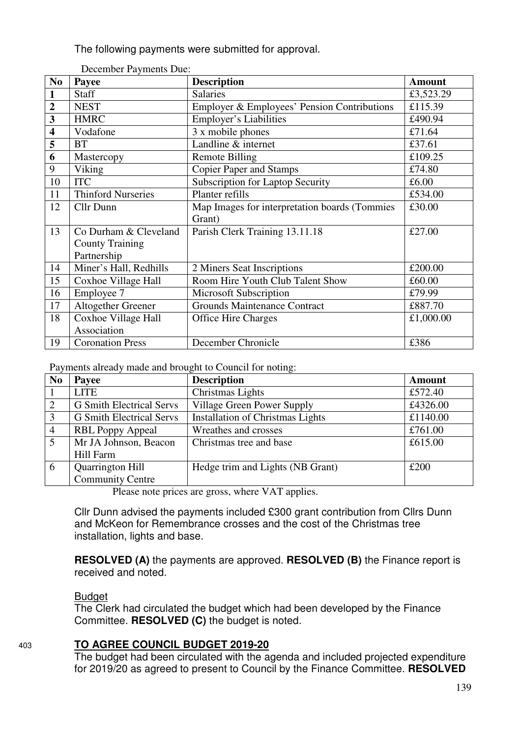The following payments were submitted for approval.

| N <sub>0</sub>          | Payee                     | <b>Description</b>                            | <b>Amount</b> |
|-------------------------|---------------------------|-----------------------------------------------|---------------|
| $\mathbf{1}$            | <b>Staff</b>              | <b>Salaries</b>                               | £3,523.29     |
| $\overline{2}$          | <b>NEST</b>               | Employer & Employees' Pension Contributions   | £115.39       |
| $\overline{\mathbf{3}}$ | <b>HMRC</b>               | <b>Employer's Liabilities</b>                 | £490.94       |
| $\overline{\mathbf{4}}$ | Vodafone                  | 3 x mobile phones                             | £71.64        |
| 5                       | <b>BT</b>                 | Landline & internet                           | £37.61        |
| 6                       | Mastercopy                | <b>Remote Billing</b>                         | £109.25       |
| 9                       | Viking                    | <b>Copier Paper and Stamps</b>                | £74.80        |
| 10                      | <b>ITC</b>                | <b>Subscription for Laptop Security</b>       | £6.00         |
| 11                      | <b>Thinford Nurseries</b> | Planter refills                               | £534.00       |
| 12                      | Cllr Dunn                 | Map Images for interpretation boards (Tommies | £30.00        |
|                         |                           | Grant)                                        |               |
| 13                      | Co Durham & Cleveland     | Parish Clerk Training 13.11.18                | £27.00        |
|                         | <b>County Training</b>    |                                               |               |
|                         | Partnership               |                                               |               |
| 14                      | Miner's Hall, Redhills    | 2 Miners Seat Inscriptions                    | £200.00       |
| 15                      | Coxhoe Village Hall       | Room Hire Youth Club Talent Show              | £60.00        |
| 16                      | Employee 7                | Microsoft Subscription                        | £79.99        |
| 17                      | Altogether Greener        | <b>Grounds Maintenance Contract</b>           | £887.70       |
| 18                      | Coxhoe Village Hall       | <b>Office Hire Charges</b>                    | £1,000.00     |
|                         | Association               |                                               |               |
| 19                      | <b>Coronation Press</b>   | December Chronicle                            | £386          |

December Payments Due:

Payments already made and brought to Council for noting:

| N <sub>0</sub> | Payee                           | <b>Description</b>                      | <b>Amount</b> |
|----------------|---------------------------------|-----------------------------------------|---------------|
|                | <b>LITE</b>                     | Christmas Lights                        | £572.40       |
| 2              | <b>G</b> Smith Electrical Servs | Village Green Power Supply              | £4326.00      |
| 3              | <b>G</b> Smith Electrical Servs | <b>Installation of Christmas Lights</b> | £1140.00      |
| $\overline{4}$ | <b>RBL Poppy Appeal</b>         | Wreathes and crosses                    | £761.00       |
| 5              | Mr JA Johnson, Beacon           | Christmas tree and base                 | £615.00       |
|                | Hill Farm                       |                                         |               |
| 6              | Quarrington Hill                | Hedge trim and Lights (NB Grant)        | £200          |
|                | <b>Community Centre</b>         |                                         |               |

Please note prices are gross, where VAT applies.

Cllr Dunn advised the payments included £300 grant contribution from Cllrs Dunn and McKeon for Remembrance crosses and the cost of the Christmas tree installation, lights and base.

 **RESOLVED (A)** the payments are approved. **RESOLVED (B)** the Finance report is received and noted.

#### Budget

The Clerk had circulated the budget which had been developed by the Finance Committee. **RESOLVED (C)** the budget is noted.

### 403 **TO AGREE COUNCIL BUDGET 2019-20**

 The budget had been circulated with the agenda and included projected expenditure for 2019/20 as agreed to present to Council by the Finance Committee. **RESOLVED**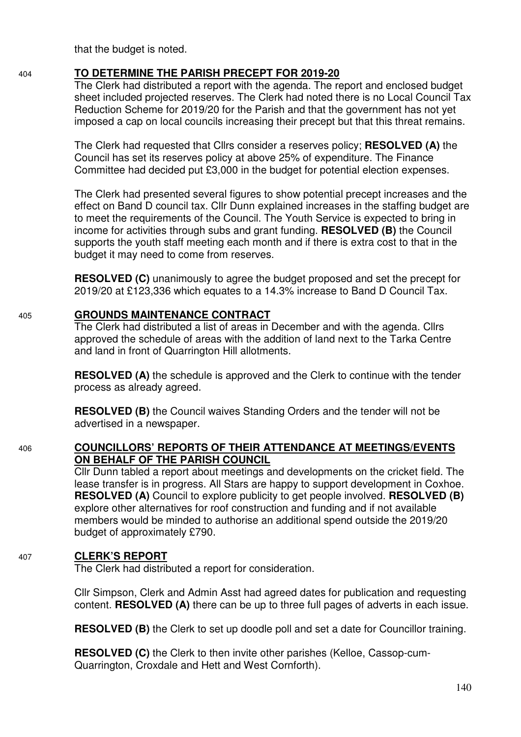that the budget is noted.

#### 404 **TO DETERMINE THE PARISH PRECEPT FOR 2019-20**

 The Clerk had distributed a report with the agenda. The report and enclosed budget sheet included projected reserves. The Clerk had noted there is no Local Council Tax Reduction Scheme for 2019/20 for the Parish and that the government has not yet imposed a cap on local councils increasing their precept but that this threat remains.

The Clerk had requested that Cllrs consider a reserves policy; **RESOLVED (A)** the Council has set its reserves policy at above 25% of expenditure. The Finance Committee had decided put £3,000 in the budget for potential election expenses.

The Clerk had presented several figures to show potential precept increases and the effect on Band D council tax. Cllr Dunn explained increases in the staffing budget are to meet the requirements of the Council. The Youth Service is expected to bring in income for activities through subs and grant funding. **RESOLVED (B)** the Council supports the youth staff meeting each month and if there is extra cost to that in the budget it may need to come from reserves.

**RESOLVED (C)** unanimously to agree the budget proposed and set the precept for 2019/20 at £123,336 which equates to a 14.3% increase to Band D Council Tax.

#### 405 **GROUNDS MAINTENANCE CONTRACT**

 The Clerk had distributed a list of areas in December and with the agenda. Cllrs approved the schedule of areas with the addition of land next to the Tarka Centre and land in front of Quarrington Hill allotments.

**RESOLVED (A)** the schedule is approved and the Clerk to continue with the tender process as already agreed.

 **RESOLVED (B)** the Council waives Standing Orders and the tender will not be advertised in a newspaper.

#### 406 **COUNCILLORS' REPORTS OF THEIR ATTENDANCE AT MEETINGS/EVENTS ON BEHALF OF THE PARISH COUNCIL**

 Cllr Dunn tabled a report about meetings and developments on the cricket field. The lease transfer is in progress. All Stars are happy to support development in Coxhoe. **RESOLVED (A)** Council to explore publicity to get people involved. **RESOLVED (B)** explore other alternatives for roof construction and funding and if not available members would be minded to authorise an additional spend outside the 2019/20 budget of approximately £790.

### 407 **CLERK'S REPORT**

The Clerk had distributed a report for consideration.

Cllr Simpson, Clerk and Admin Asst had agreed dates for publication and requesting content. **RESOLVED (A)** there can be up to three full pages of adverts in each issue.

**RESOLVED (B)** the Clerk to set up doodle poll and set a date for Councillor training.

**RESOLVED (C)** the Clerk to then invite other parishes (Kelloe, Cassop-cum-Quarrington, Croxdale and Hett and West Cornforth).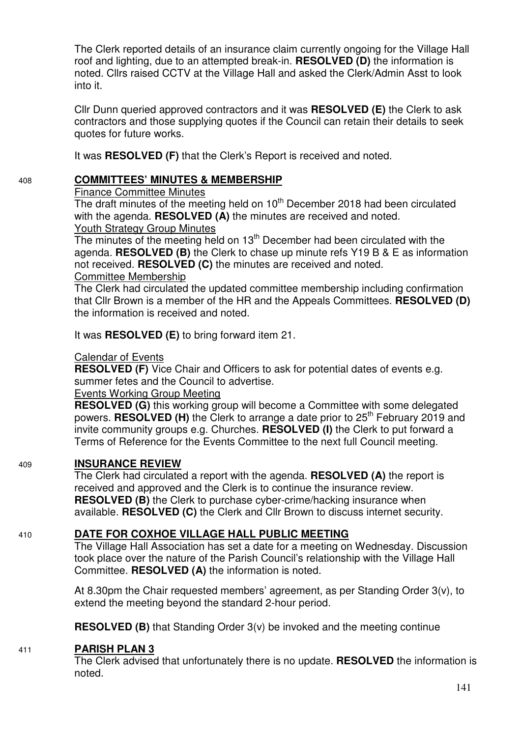The Clerk reported details of an insurance claim currently ongoing for the Village Hall roof and lighting, due to an attempted break-in. **RESOLVED (D)** the information is noted. Cllrs raised CCTV at the Village Hall and asked the Clerk/Admin Asst to look into it.

Cllr Dunn queried approved contractors and it was **RESOLVED (E)** the Clerk to ask contractors and those supplying quotes if the Council can retain their details to seek quotes for future works.

It was **RESOLVED (F)** that the Clerk's Report is received and noted.

#### 408 **COMMITTEES' MINUTES & MEMBERSHIP**

Finance Committee Minutes

The draft minutes of the meeting held on  $10<sup>th</sup>$  December 2018 had been circulated with the agenda. **RESOLVED (A)** the minutes are received and noted. Youth Strategy Group Minutes

The minutes of the meeting held on 13<sup>th</sup> December had been circulated with the

agenda. **RESOLVED (B)** the Clerk to chase up minute refs Y19 B & E as information not received. **RESOLVED (C)** the minutes are received and noted.

Committee Membership

The Clerk had circulated the updated committee membership including confirmation that Cllr Brown is a member of the HR and the Appeals Committees. **RESOLVED (D)**  the information is received and noted.

It was **RESOLVED (E)** to bring forward item 21.

#### Calendar of Events

**RESOLVED (F)** Vice Chair and Officers to ask for potential dates of events e.g. summer fetes and the Council to advertise.

#### Events Working Group Meeting

**RESOLVED (G)** this working group will become a Committee with some delegated powers. **RESOLVED (H)** the Clerk to arrange a date prior to 25<sup>th</sup> February 2019 and invite community groups e.g. Churches. **RESOLVED (I)** the Clerk to put forward a Terms of Reference for the Events Committee to the next full Council meeting.

#### 409 **INSURANCE REVIEW**

The Clerk had circulated a report with the agenda. **RESOLVED (A)** the report is received and approved and the Clerk is to continue the insurance review. **RESOLVED (B)** the Clerk to purchase cyber-crime/hacking insurance when available. **RESOLVED (C)** the Clerk and Cllr Brown to discuss internet security.

### 410 **DATE FOR COXHOE VILLAGE HALL PUBLIC MEETING**

The Village Hall Association has set a date for a meeting on Wednesday. Discussion took place over the nature of the Parish Council's relationship with the Village Hall Committee. **RESOLVED (A)** the information is noted.

At 8.30pm the Chair requested members' agreement, as per Standing Order 3(v), to extend the meeting beyond the standard 2-hour period.

**RESOLVED (B)** that Standing Order 3(v) be invoked and the meeting continue

#### 411 **PARISH PLAN 3**

The Clerk advised that unfortunately there is no update. **RESOLVED** the information is noted.

141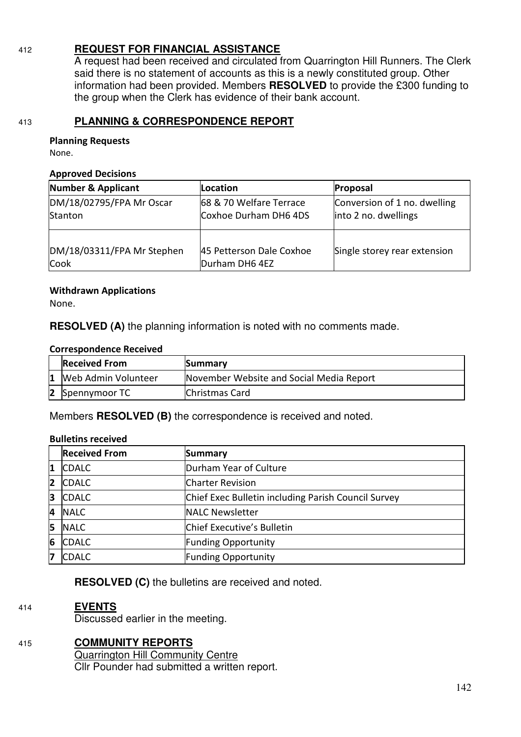### 412 **REQUEST FOR FINANCIAL ASSISTANCE**

A request had been received and circulated from Quarrington Hill Runners. The Clerk said there is no statement of accounts as this is a newly constituted group. Other information had been provided. Members **RESOLVED** to provide the £300 funding to the group when the Clerk has evidence of their bank account.

### 413 **PLANNING & CORRESPONDENCE REPORT**

#### **Planning Requests**

None.

#### **Approved Decisions**

| <b>Number &amp; Applicant</b>       | Location                                         | Proposal                                             |
|-------------------------------------|--------------------------------------------------|------------------------------------------------------|
| DM/18/02795/FPA Mr Oscar<br>Stanton | 68 & 70 Welfare Terrace<br>Coxhoe Durham DH6 4DS | Conversion of 1 no. dwelling<br>into 2 no. dwellings |
| DM/18/03311/FPA Mr Stephen<br>Cook  | 45 Petterson Dale Coxhoe<br>Durham DH6 4EZ       | Single storey rear extension                         |

#### **Withdrawn Applications**

None.

**RESOLVED (A)** the planning information is noted with no comments made.

#### **Correspondence Received**

| <b>Received From</b><br>Summary |                       |                                          |
|---------------------------------|-----------------------|------------------------------------------|
|                                 | 1 Web Admin Volunteer | November Website and Social Media Report |
|                                 | 2 Spennymoor TC       | Christmas Card                           |

Members **RESOLVED (B)** the correspondence is received and noted.

#### **Bulletins received**

|    | <b>Received From</b> | <b>Summary</b>                                      |
|----|----------------------|-----------------------------------------------------|
| 11 | <b>CDALC</b>         | Durham Year of Culture                              |
| 12 | <b>CDALC</b>         | <b>Charter Revision</b>                             |
| 13 | <b>CDALC</b>         | Chief Exec Bulletin including Parish Council Survey |
| 14 | <b>NALC</b>          | <b>NALC Newsletter</b>                              |
| 15 | <b>NALC</b>          | Chief Executive's Bulletin                          |
| 6  | <b>CDALC</b>         | <b>Funding Opportunity</b>                          |
| 17 | <b>CDALC</b>         | <b>Funding Opportunity</b>                          |

**RESOLVED (C)** the bulletins are received and noted.

#### 414 **EVENTS**

Discussed earlier in the meeting.

### 415 **COMMUNITY REPORTS**

Quarrington Hill Community Centre Cllr Pounder had submitted a written report.